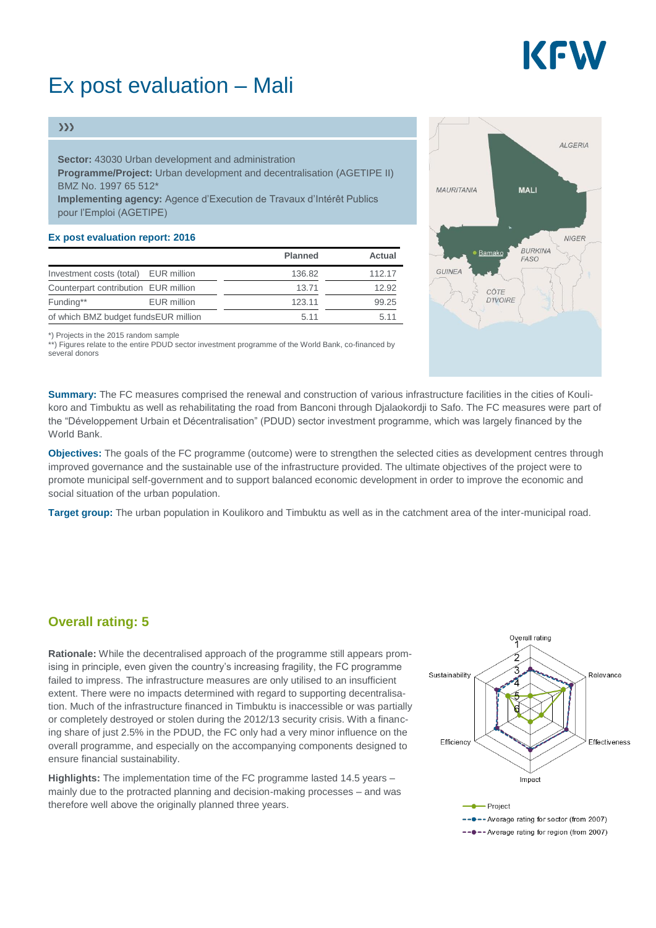

## Ex post evaluation – Mali

#### $\gg$

**Sector:** 43030 Urban development and administration **Programme/Project:** Urban development and decentralisation (AGETIPE II) BMZ No. 1997 65 512\* **Implementing agency:** Agence d'Execution de Travaux d'Intérêt Publics pour l'Emploi (AGETIPE)

#### **Ex post evaluation report: 2016**

|                                      |                                      | <b>Planned</b> | Actual |
|--------------------------------------|--------------------------------------|----------------|--------|
|                                      | Investment costs (total) EUR million | 136.82         | 112.17 |
|                                      | Counterpart contribution EUR million | 13.71          | 12.92  |
| Funding**                            | <b>EUR</b> million                   | 123.11         | 99.25  |
| of which BMZ budget fundsEUR million |                                      | 5.11           | 5.11   |

\*) Projects in the 2015 random sample

\*\*) Figures relate to the entire PDUD sector investment programme of the World Bank, co-financed by several donors

**Summary:** The FC measures comprised the renewal and construction of various infrastructure facilities in the cities of Koulikoro and Timbuktu as well as rehabilitating the road from Banconi through Djalaokordji to Safo. The FC measures were part of the "Développement Urbain et Décentralisation" (PDUD) sector investment programme, which was largely financed by the World Bank.

**Objectives:** The goals of the FC programme (outcome) were to strengthen the selected cities as development centres through improved governance and the sustainable use of the infrastructure provided. The ultimate objectives of the project were to promote municipal self-government and to support balanced economic development in order to improve the economic and social situation of the urban population.

**Target group:** The urban population in Koulikoro and Timbuktu as well as in the catchment area of the inter-municipal road.

### **Overall rating: 5**

**Rationale:** While the decentralised approach of the programme still appears promising in principle, even given the country's increasing fragility, the FC programme failed to impress. The infrastructure measures are only utilised to an insufficient extent. There were no impacts determined with regard to supporting decentralisation. Much of the infrastructure financed in Timbuktu is inaccessible or was partially or completely destroyed or stolen during the 2012/13 security crisis. With a financing share of just 2.5% in the PDUD, the FC only had a very minor influence on the overall programme, and especially on the accompanying components designed to ensure financial sustainability.

**Highlights:** The implementation time of the FC programme lasted 14.5 years – mainly due to the protracted planning and decision-making processes – and was therefore well above the originally planned three years.



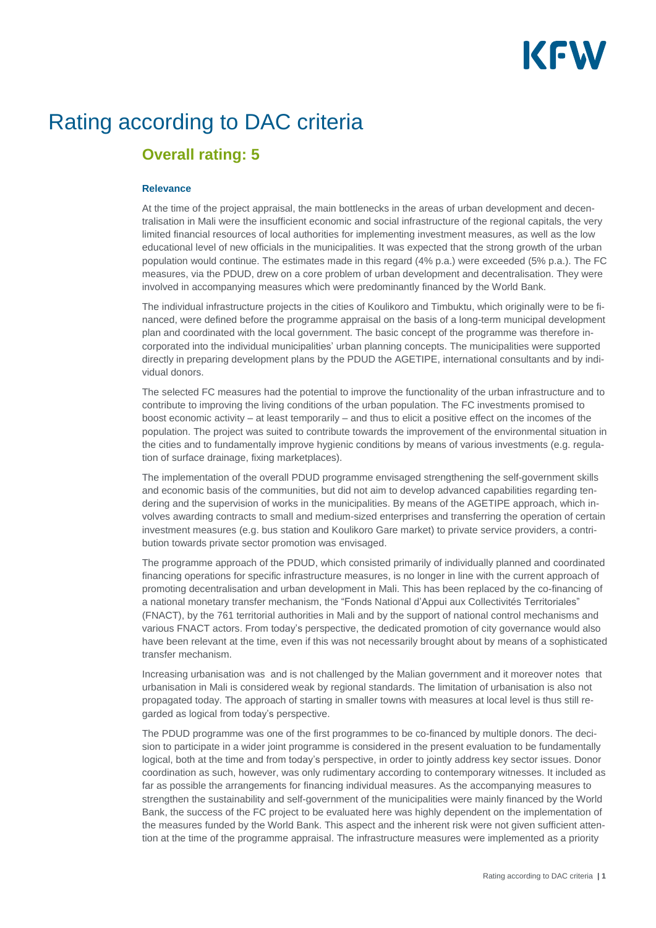# KFW

# Rating according to DAC criteria

## **Overall rating: 5**

#### **Relevance**

At the time of the project appraisal, the main bottlenecks in the areas of urban development and decentralisation in Mali were the insufficient economic and social infrastructure of the regional capitals, the very limited financial resources of local authorities for implementing investment measures, as well as the low educational level of new officials in the municipalities. It was expected that the strong growth of the urban population would continue. The estimates made in this regard (4% p.a.) were exceeded (5% p.a.). The FC measures, via the PDUD, drew on a core problem of urban development and decentralisation. They were involved in accompanying measures which were predominantly financed by the World Bank.

The individual infrastructure projects in the cities of Koulikoro and Timbuktu, which originally were to be financed, were defined before the programme appraisal on the basis of a long-term municipal development plan and coordinated with the local government. The basic concept of the programme was therefore incorporated into the individual municipalities' urban planning concepts. The municipalities were supported directly in preparing development plans by the PDUD the AGETIPE, international consultants and by individual donors.

The selected FC measures had the potential to improve the functionality of the urban infrastructure and to contribute to improving the living conditions of the urban population. The FC investments promised to boost economic activity – at least temporarily – and thus to elicit a positive effect on the incomes of the population. The project was suited to contribute towards the improvement of the environmental situation in the cities and to fundamentally improve hygienic conditions by means of various investments (e.g. regulation of surface drainage, fixing marketplaces).

The implementation of the overall PDUD programme envisaged strengthening the self-government skills and economic basis of the communities, but did not aim to develop advanced capabilities regarding tendering and the supervision of works in the municipalities. By means of the AGETIPE approach, which involves awarding contracts to small and medium-sized enterprises and transferring the operation of certain investment measures (e.g. bus station and Koulikoro Gare market) to private service providers, a contribution towards private sector promotion was envisaged.

The programme approach of the PDUD, which consisted primarily of individually planned and coordinated financing operations for specific infrastructure measures, is no longer in line with the current approach of promoting decentralisation and urban development in Mali. This has been replaced by the co-financing of a national monetary transfer mechanism, the "Fonds National d'Appui aux Collectivités Territoriales" (FNACT), by the 761 territorial authorities in Mali and by the support of national control mechanisms and various FNACT actors. From today's perspective, the dedicated promotion of city governance would also have been relevant at the time, even if this was not necessarily brought about by means of a sophisticated transfer mechanism.

Increasing urbanisation was and is not challenged by the Malian government and it moreover notes that urbanisation in Mali is considered weak by regional standards. The limitation of urbanisation is also not propagated today. The approach of starting in smaller towns with measures at local level is thus still regarded as logical from today's perspective.

The PDUD programme was one of the first programmes to be co-financed by multiple donors. The decision to participate in a wider joint programme is considered in the present evaluation to be fundamentally logical, both at the time and from today's perspective, in order to jointly address key sector issues. Donor coordination as such, however, was only rudimentary according to contemporary witnesses. It included as far as possible the arrangements for financing individual measures. As the accompanying measures to strengthen the sustainability and self-government of the municipalities were mainly financed by the World Bank, the success of the FC project to be evaluated here was highly dependent on the implementation of the measures funded by the World Bank. This aspect and the inherent risk were not given sufficient attention at the time of the programme appraisal. The infrastructure measures were implemented as a priority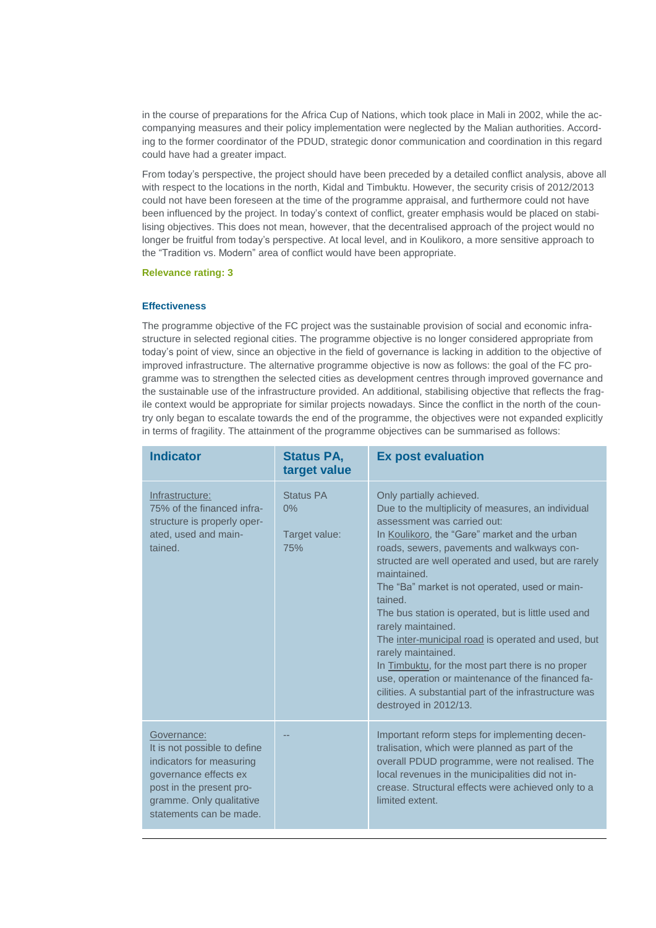in the course of preparations for the Africa Cup of Nations, which took place in Mali in 2002, while the accompanying measures and their policy implementation were neglected by the Malian authorities. According to the former coordinator of the PDUD, strategic donor communication and coordination in this regard could have had a greater impact.

From today's perspective, the project should have been preceded by a detailed conflict analysis, above all with respect to the locations in the north, Kidal and Timbuktu. However, the security crisis of 2012/2013 could not have been foreseen at the time of the programme appraisal, and furthermore could not have been influenced by the project. In today's context of conflict, greater emphasis would be placed on stabilising objectives. This does not mean, however, that the decentralised approach of the project would no longer be fruitful from today's perspective. At local level, and in Koulikoro, a more sensitive approach to the "Tradition vs. Modern" area of conflict would have been appropriate.

**Relevance rating: 3**

#### **Effectiveness**

The programme objective of the FC project was the sustainable provision of social and economic infrastructure in selected regional cities. The programme objective is no longer considered appropriate from today's point of view, since an objective in the field of governance is lacking in addition to the objective of improved infrastructure. The alternative programme objective is now as follows: the goal of the FC programme was to strengthen the selected cities as development centres through improved governance and the sustainable use of the infrastructure provided. An additional, stabilising objective that reflects the fragile context would be appropriate for similar projects nowadays. Since the conflict in the north of the country only began to escalate towards the end of the programme, the objectives were not expanded explicitly in terms of fragility. The attainment of the programme objectives can be summarised as follows:

| <b>Indicator</b>                                                                                                                                                                    | <b>Status PA,</b><br>target value       | <b>Ex post evaluation</b>                                                                                                                                                                                                                                                                                                                                                                                                                                                                                                                                                                                                                                                                             |
|-------------------------------------------------------------------------------------------------------------------------------------------------------------------------------------|-----------------------------------------|-------------------------------------------------------------------------------------------------------------------------------------------------------------------------------------------------------------------------------------------------------------------------------------------------------------------------------------------------------------------------------------------------------------------------------------------------------------------------------------------------------------------------------------------------------------------------------------------------------------------------------------------------------------------------------------------------------|
| Infrastructure:<br>75% of the financed infra-<br>structure is properly oper-<br>ated, used and main-<br>tained.                                                                     | Status PA<br>0%<br>Target value:<br>75% | Only partially achieved.<br>Due to the multiplicity of measures, an individual<br>assessment was carried out:<br>In Koulikoro, the "Gare" market and the urban<br>roads, sewers, pavements and walkways con-<br>structed are well operated and used, but are rarely<br>maintained.<br>The "Ba" market is not operated, used or main-<br>tained.<br>The bus station is operated, but is little used and<br>rarely maintained.<br>The inter-municipal road is operated and used, but<br>rarely maintained.<br>In Timbuktu, for the most part there is no proper<br>use, operation or maintenance of the financed fa-<br>cilities. A substantial part of the infrastructure was<br>destroyed in 2012/13. |
| Governance:<br>It is not possible to define<br>indicators for measuring<br>governance effects ex<br>post in the present pro-<br>gramme. Only qualitative<br>statements can be made. |                                         | Important reform steps for implementing decen-<br>tralisation, which were planned as part of the<br>overall PDUD programme, were not realised. The<br>local revenues in the municipalities did not in-<br>crease. Structural effects were achieved only to a<br>limited extent.                                                                                                                                                                                                                                                                                                                                                                                                                       |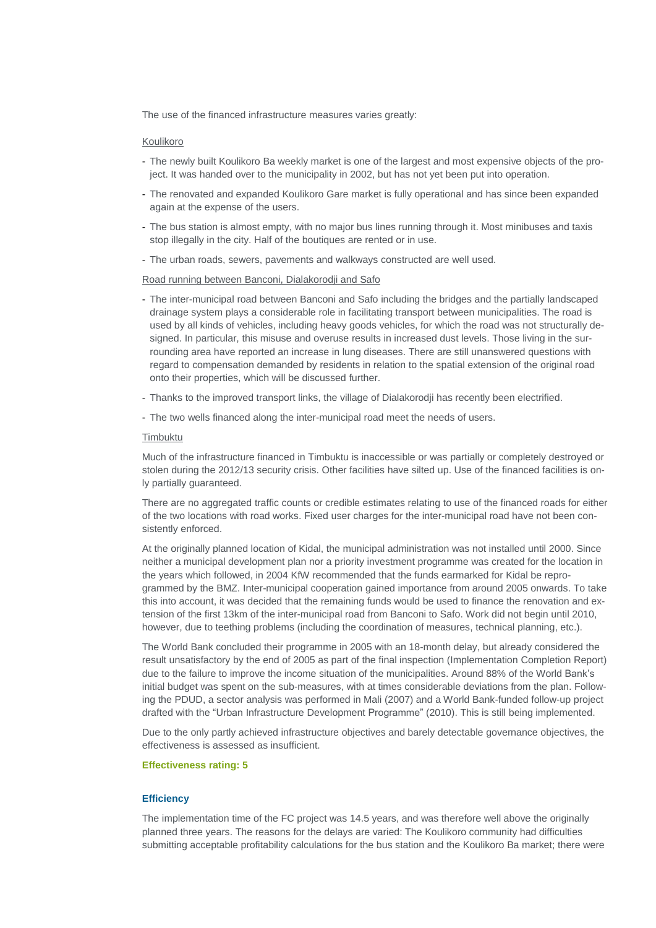The use of the financed infrastructure measures varies greatly:

#### Koulikoro

- The newly built Koulikoro Ba weekly market is one of the largest and most expensive objects of the project. It was handed over to the municipality in 2002, but has not yet been put into operation.
- The renovated and expanded Koulikoro Gare market is fully operational and has since been expanded again at the expense of the users.
- The bus station is almost empty, with no major bus lines running through it. Most minibuses and taxis stop illegally in the city. Half of the boutiques are rented or in use.
- The urban roads, sewers, pavements and walkways constructed are well used.

#### Road running between Banconi, Dialakorodji and Safo

- The inter-municipal road between Banconi and Safo including the bridges and the partially landscaped drainage system plays a considerable role in facilitating transport between municipalities. The road is used by all kinds of vehicles, including heavy goods vehicles, for which the road was not structurally designed. In particular, this misuse and overuse results in increased dust levels. Those living in the surrounding area have reported an increase in lung diseases. There are still unanswered questions with regard to compensation demanded by residents in relation to the spatial extension of the original road onto their properties, which will be discussed further.
- Thanks to the improved transport links, the village of Dialakorodji has recently been electrified.
- The two wells financed along the inter-municipal road meet the needs of users.

#### Timbuktu

Much of the infrastructure financed in Timbuktu is inaccessible or was partially or completely destroyed or stolen during the 2012/13 security crisis. Other facilities have silted up. Use of the financed facilities is only partially guaranteed.

There are no aggregated traffic counts or credible estimates relating to use of the financed roads for either of the two locations with road works. Fixed user charges for the inter-municipal road have not been consistently enforced.

At the originally planned location of Kidal, the municipal administration was not installed until 2000. Since neither a municipal development plan nor a priority investment programme was created for the location in the years which followed, in 2004 KfW recommended that the funds earmarked for Kidal be reprogrammed by the BMZ. Inter-municipal cooperation gained importance from around 2005 onwards. To take this into account, it was decided that the remaining funds would be used to finance the renovation and extension of the first 13km of the inter-municipal road from Banconi to Safo. Work did not begin until 2010, however, due to teething problems (including the coordination of measures, technical planning, etc.).

The World Bank concluded their programme in 2005 with an 18-month delay, but already considered the result unsatisfactory by the end of 2005 as part of the final inspection (Implementation Completion Report) due to the failure to improve the income situation of the municipalities. Around 88% of the World Bank's initial budget was spent on the sub-measures, with at times considerable deviations from the plan. Following the PDUD, a sector analysis was performed in Mali (2007) and a World Bank-funded follow-up project drafted with the "Urban Infrastructure Development Programme" (2010). This is still being implemented.

Due to the only partly achieved infrastructure objectives and barely detectable governance objectives, the effectiveness is assessed as insufficient.

#### **Effectiveness rating: 5**

#### **Efficiency**

The implementation time of the FC project was 14.5 years, and was therefore well above the originally planned three years. The reasons for the delays are varied: The Koulikoro community had difficulties submitting acceptable profitability calculations for the bus station and the Koulikoro Ba market; there were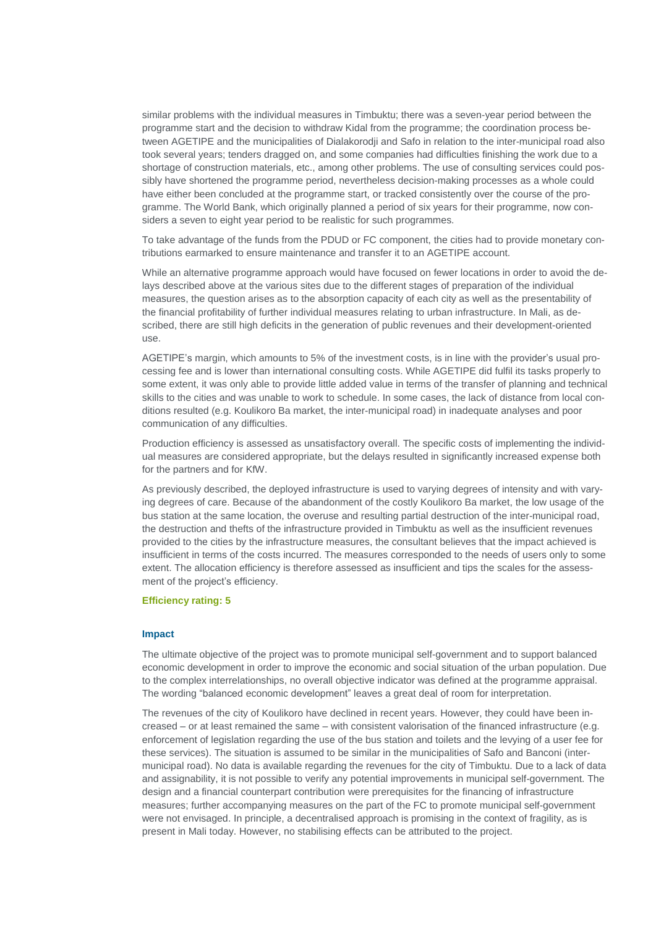similar problems with the individual measures in Timbuktu; there was a seven-year period between the programme start and the decision to withdraw Kidal from the programme; the coordination process between AGETIPE and the municipalities of Dialakorodji and Safo in relation to the inter-municipal road also took several years; tenders dragged on, and some companies had difficulties finishing the work due to a shortage of construction materials, etc., among other problems. The use of consulting services could possibly have shortened the programme period, nevertheless decision-making processes as a whole could have either been concluded at the programme start, or tracked consistently over the course of the programme. The World Bank, which originally planned a period of six years for their programme, now considers a seven to eight year period to be realistic for such programmes.

To take advantage of the funds from the PDUD or FC component, the cities had to provide monetary contributions earmarked to ensure maintenance and transfer it to an AGETIPE account.

While an alternative programme approach would have focused on fewer locations in order to avoid the delays described above at the various sites due to the different stages of preparation of the individual measures, the question arises as to the absorption capacity of each city as well as the presentability of the financial profitability of further individual measures relating to urban infrastructure. In Mali, as described, there are still high deficits in the generation of public revenues and their development-oriented use.

AGETIPE's margin, which amounts to 5% of the investment costs, is in line with the provider's usual processing fee and is lower than international consulting costs. While AGETIPE did fulfil its tasks properly to some extent, it was only able to provide little added value in terms of the transfer of planning and technical skills to the cities and was unable to work to schedule. In some cases, the lack of distance from local conditions resulted (e.g. Koulikoro Ba market, the inter-municipal road) in inadequate analyses and poor communication of any difficulties.

Production efficiency is assessed as unsatisfactory overall. The specific costs of implementing the individual measures are considered appropriate, but the delays resulted in significantly increased expense both for the partners and for KfW.

As previously described, the deployed infrastructure is used to varying degrees of intensity and with varying degrees of care. Because of the abandonment of the costly Koulikoro Ba market, the low usage of the bus station at the same location, the overuse and resulting partial destruction of the inter-municipal road, the destruction and thefts of the infrastructure provided in Timbuktu as well as the insufficient revenues provided to the cities by the infrastructure measures, the consultant believes that the impact achieved is insufficient in terms of the costs incurred. The measures corresponded to the needs of users only to some extent. The allocation efficiency is therefore assessed as insufficient and tips the scales for the assessment of the project's efficiency.

#### **Efficiency rating: 5**

#### **Impact**

The ultimate objective of the project was to promote municipal self-government and to support balanced economic development in order to improve the economic and social situation of the urban population. Due to the complex interrelationships, no overall objective indicator was defined at the programme appraisal. The wording "balanced economic development" leaves a great deal of room for interpretation.

The revenues of the city of Koulikoro have declined in recent years. However, they could have been increased – or at least remained the same – with consistent valorisation of the financed infrastructure (e.g. enforcement of legislation regarding the use of the bus station and toilets and the levying of a user fee for these services). The situation is assumed to be similar in the municipalities of Safo and Banconi (intermunicipal road). No data is available regarding the revenues for the city of Timbuktu. Due to a lack of data and assignability, it is not possible to verify any potential improvements in municipal self-government. The design and a financial counterpart contribution were prerequisites for the financing of infrastructure measures; further accompanying measures on the part of the FC to promote municipal self-government were not envisaged. In principle, a decentralised approach is promising in the context of fragility, as is present in Mali today. However, no stabilising effects can be attributed to the project.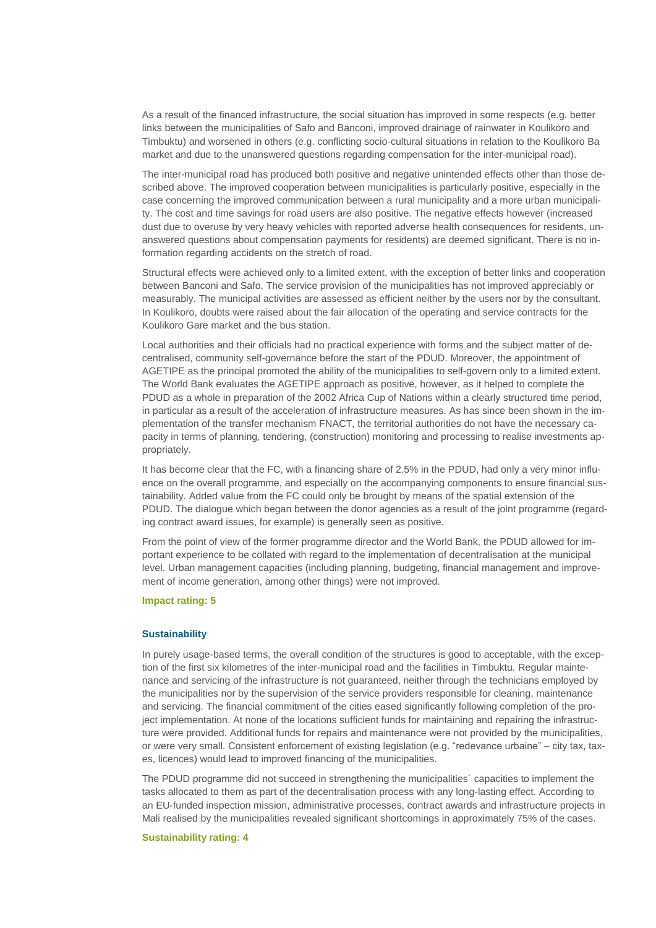As a result of the financed infrastructure, the social situation has improved in some respects (e.g. better links between the municipalities of Safo and Banconi, improved drainage of rainwater in Koulikoro and Timbuktu) and worsened in others (e.g. conflicting socio-cultural situations in relation to the Koulikoro Ba market and due to the unanswered questions regarding compensation for the inter-municipal road).

The inter-municipal road has produced both positive and negative unintended effects other than those described above. The improved cooperation between municipalities is particularly positive, especially in the case concerning the improved communication between a rural municipality and a more urban municipality. The cost and time savings for road users are also positive. The negative effects however (increased dust due to overuse by very heavy vehicles with reported adverse health consequences for residents, unanswered questions about compensation payments for residents) are deemed significant. There is no information regarding accidents on the stretch of road.

Structural effects were achieved only to a limited extent, with the exception of better links and cooperation between Banconi and Safo. The service provision of the municipalities has not improved appreciably or measurably. The municipal activities are assessed as efficient neither by the users nor by the consultant. In Koulikoro, doubts were raised about the fair allocation of the operating and service contracts for the Koulikoro Gare market and the bus station.

Local authorities and their officials had no practical experience with forms and the subject matter of decentralised, community self-governance before the start of the PDUD. Moreover, the appointment of AGETIPE as the principal promoted the ability of the municipalities to self-govern only to a limited extent. The World Bank evaluates the AGETIPE approach as positive, however, as it helped to complete the PDUD as a whole in preparation of the 2002 Africa Cup of Nations within a clearly structured time period, in particular as a result of the acceleration of infrastructure measures. As has since been shown in the implementation of the transfer mechanism FNACT, the territorial authorities do not have the necessary capacity in terms of planning, tendering, (construction) monitoring and processing to realise investments appropriately.

It has become clear that the FC, with a financing share of 2.5% in the PDUD, had only a very minor influence on the overall programme, and especially on the accompanying components to ensure financial sustainability. Added value from the FC could only be brought by means of the spatial extension of the PDUD. The dialogue which began between the donor agencies as a result of the joint programme (regarding contract award issues, for example) is generally seen as positive.

From the point of view of the former programme director and the World Bank, the PDUD allowed for important experience to be collated with regard to the implementation of decentralisation at the municipal level. Urban management capacities (including planning, budgeting, financial management and improvement of income generation, among other things) were not improved.

#### **Impact rating: 5**

#### **Sustainability**

In purely usage-based terms, the overall condition of the structures is good to acceptable, with the exception of the first six kilometres of the inter-municipal road and the facilities in Timbuktu. Regular maintenance and servicing of the infrastructure is not guaranteed, neither through the technicians employed by the municipalities nor by the supervision of the service providers responsible for cleaning, maintenance and servicing. The financial commitment of the cities eased significantly following completion of the project implementation. At none of the locations sufficient funds for maintaining and repairing the infrastructure were provided. Additional funds for repairs and maintenance were not provided by the municipalities, or were very small. Consistent enforcement of existing legislation (e.g. "redevance urbaine" – city tax, taxes, licences) would lead to improved financing of the municipalities.

The PDUD programme did not succeed in strengthening the municipalities´ capacities to implement the tasks allocated to them as part of the decentralisation process with any long-lasting effect. According to an EU-funded inspection mission, administrative processes, contract awards and infrastructure projects in Mali realised by the municipalities revealed significant shortcomings in approximately 75% of the cases.

#### **Sustainability rating: 4**